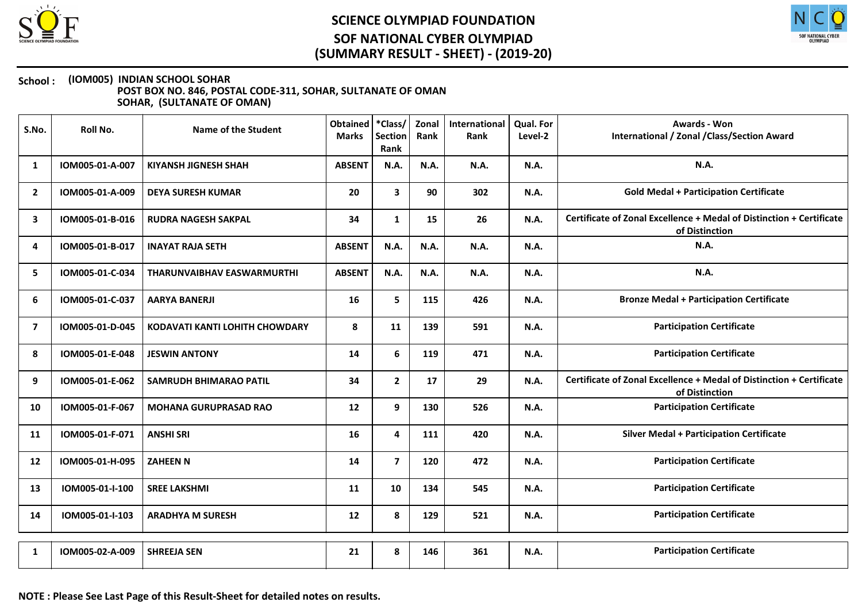



| S.No.          | Roll No.        | <b>Name of the Student</b>            | Obtained   *Class/<br><b>Marks</b> | <b>Section</b><br>Rank  | Zonal<br>Rank | International<br>Rank | Qual. For<br>Level-2 | <b>Awards - Won</b><br><b>International / Zonal / Class/Section Award</b>              |
|----------------|-----------------|---------------------------------------|------------------------------------|-------------------------|---------------|-----------------------|----------------------|----------------------------------------------------------------------------------------|
| 1              | IOM005-01-A-007 | <b>KIYANSH JIGNESH SHAH</b>           | <b>ABSENT</b>                      | N.A.                    | N.A.          | N.A.                  | <b>N.A.</b>          | N.A.                                                                                   |
| $\overline{2}$ | IOM005-01-A-009 | <b>DEYA SURESH KUMAR</b>              | 20                                 | 3                       | 90            | 302                   | N.A.                 | <b>Gold Medal + Participation Certificate</b>                                          |
| 3              | IOM005-01-B-016 | <b>RUDRA NAGESH SAKPAL</b>            | 34                                 | $\mathbf{1}$            | 15            | 26                    | N.A.                 | Certificate of Zonal Excellence + Medal of Distinction + Certificate<br>of Distinction |
| 4              | IOM005-01-B-017 | <b>INAYAT RAJA SETH</b>               | <b>ABSENT</b>                      | N.A.                    | N.A.          | N.A.                  | <b>N.A.</b>          | N.A.                                                                                   |
| 5              | IOM005-01-C-034 | THARUNVAIBHAV EASWARMURTHI            | <b>ABSENT</b>                      | N.A.                    | N.A.          | N.A.                  | N.A.                 | <b>N.A.</b>                                                                            |
| 6              | IOM005-01-C-037 | <b>AARYA BANERJI</b>                  | 16                                 | 5                       | 115           | 426                   | N.A.                 | <b>Bronze Medal + Participation Certificate</b>                                        |
| $\overline{7}$ | IOM005-01-D-045 | <b>KODAVATI KANTI LOHITH CHOWDARY</b> | 8                                  | 11                      | 139           | 591                   | N.A.                 | <b>Participation Certificate</b>                                                       |
| 8              | IOM005-01-E-048 | <b>JESWIN ANTONY</b>                  | 14                                 | 6                       | 119           | 471                   | <b>N.A.</b>          | <b>Participation Certificate</b>                                                       |
| 9              | IOM005-01-E-062 | <b>SAMRUDH BHIMARAO PATIL</b>         | 34                                 | $\mathbf{2}$            | 17            | 29                    | N.A.                 | Certificate of Zonal Excellence + Medal of Distinction + Certificate<br>of Distinction |
| 10             | IOM005-01-F-067 | <b>MOHANA GURUPRASAD RAO</b>          | 12                                 | 9                       | 130           | 526                   | N.A.                 | <b>Participation Certificate</b>                                                       |
| 11             | IOM005-01-F-071 | <b>ANSHI SRI</b>                      | 16                                 | 4                       | 111           | 420                   | N.A.                 | <b>Silver Medal + Participation Certificate</b>                                        |
| 12             | IOM005-01-H-095 | <b>ZAHEEN N</b>                       | 14                                 | $\overline{\mathbf{z}}$ | 120           | 472                   | N.A.                 | <b>Participation Certificate</b>                                                       |
| 13             | IOM005-01-I-100 | <b>SREE LAKSHMI</b>                   | 11                                 | 10                      | 134           | 545                   | <b>N.A.</b>          | <b>Participation Certificate</b>                                                       |
| 14             | IOM005-01-I-103 | <b>ARADHYA M SURESH</b>               | 12                                 | 8                       | 129           | 521                   | N.A.                 | <b>Participation Certificate</b>                                                       |
| 1              | IOM005-02-A-009 | <b>SHREEJA SEN</b>                    | 21                                 | 8                       | 146           | 361                   | N.A.                 | <b>Participation Certificate</b>                                                       |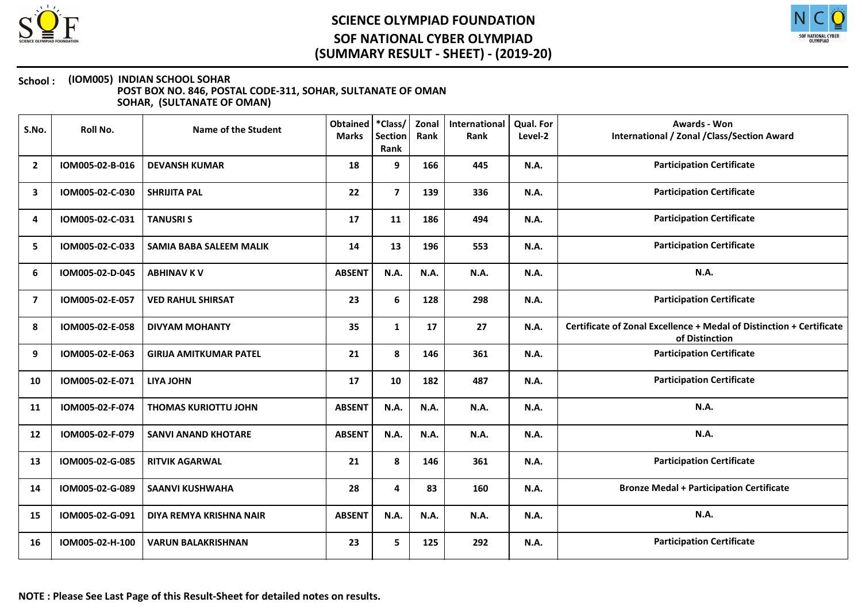



| S.No.          | Roll No.        | Name of the Student            | <b>Obtained</b><br><b>Marks</b> | *Class/<br><b>Section</b><br>Rank | Zonal<br>Rank | International<br>Rank | <b>Qual. For</b><br>Level-2 | <b>Awards - Won</b><br>International / Zonal / Class/Section Award                     |
|----------------|-----------------|--------------------------------|---------------------------------|-----------------------------------|---------------|-----------------------|-----------------------------|----------------------------------------------------------------------------------------|
| $\mathbf{2}$   | IOM005-02-B-016 | <b>DEVANSH KUMAR</b>           | 18                              | 9                                 | 166           | 445                   | <b>N.A.</b>                 | <b>Participation Certificate</b>                                                       |
| 3              | IOM005-02-C-030 | <b>SHRIJITA PAL</b>            | 22                              | $\overline{7}$                    | 139           | 336                   | <b>N.A.</b>                 | <b>Participation Certificate</b>                                                       |
| 4              | IOM005-02-C-031 | <b>TANUSRIS</b>                | 17                              | 11                                | 186           | 494                   | <b>N.A.</b>                 | <b>Participation Certificate</b>                                                       |
| 5              | IOM005-02-C-033 | <b>SAMIA BABA SALEEM MALIK</b> | 14                              | 13                                | 196           | 553                   | <b>N.A.</b>                 | <b>Participation Certificate</b>                                                       |
| 6              | IOM005-02-D-045 | <b>ABHINAV K V</b>             | <b>ABSENT</b>                   | N.A.                              | N.A.          | N.A.                  | <b>N.A.</b>                 | N.A.                                                                                   |
| $\overline{7}$ | IOM005-02-E-057 | <b>VED RAHUL SHIRSAT</b>       | 23                              | 6                                 | 128           | 298                   | <b>N.A.</b>                 | <b>Participation Certificate</b>                                                       |
| 8              | IOM005-02-E-058 | <b>DIVYAM MOHANTY</b>          | 35                              | $\mathbf{1}$                      | 17            | 27                    | N.A.                        | Certificate of Zonal Excellence + Medal of Distinction + Certificate<br>of Distinction |
| 9              | IOM005-02-E-063 | <b>GIRIJA AMITKUMAR PATEL</b>  | 21                              | 8                                 | 146           | 361                   | N.A.                        | <b>Participation Certificate</b>                                                       |
| 10             | IOM005-02-E-071 | <b>LIYA JOHN</b>               | 17                              | 10                                | 182           | 487                   | <b>N.A.</b>                 | <b>Participation Certificate</b>                                                       |
| 11             | IOM005-02-F-074 | <b>THOMAS KURIOTTU JOHN</b>    | <b>ABSENT</b>                   | N.A.                              | N.A.          | N.A.                  | N.A.                        | <b>N.A.</b>                                                                            |
| 12             | IOM005-02-F-079 | <b>SANVI ANAND KHOTARE</b>     | <b>ABSENT</b>                   | <b>N.A.</b>                       | N.A.          | N.A.                  | <b>N.A.</b>                 | N.A.                                                                                   |
| 13             | IOM005-02-G-085 | <b>RITVIK AGARWAL</b>          | 21                              | 8                                 | 146           | 361                   | <b>N.A.</b>                 | <b>Participation Certificate</b>                                                       |
| 14             | IOM005-02-G-089 | <b>SAANVI KUSHWAHA</b>         | 28                              | 4                                 | 83            | 160                   | <b>N.A.</b>                 | <b>Bronze Medal + Participation Certificate</b>                                        |
| 15             | IOM005-02-G-091 | DIYA REMYA KRISHNA NAIR        | <b>ABSENT</b>                   | N.A.                              | N.A.          | N.A.                  | <b>N.A.</b>                 | N.A.                                                                                   |
| 16             | IOM005-02-H-100 | <b>VARUN BALAKRISHNAN</b>      | 23                              | 5                                 | 125           | 292                   | <b>N.A.</b>                 | <b>Participation Certificate</b>                                                       |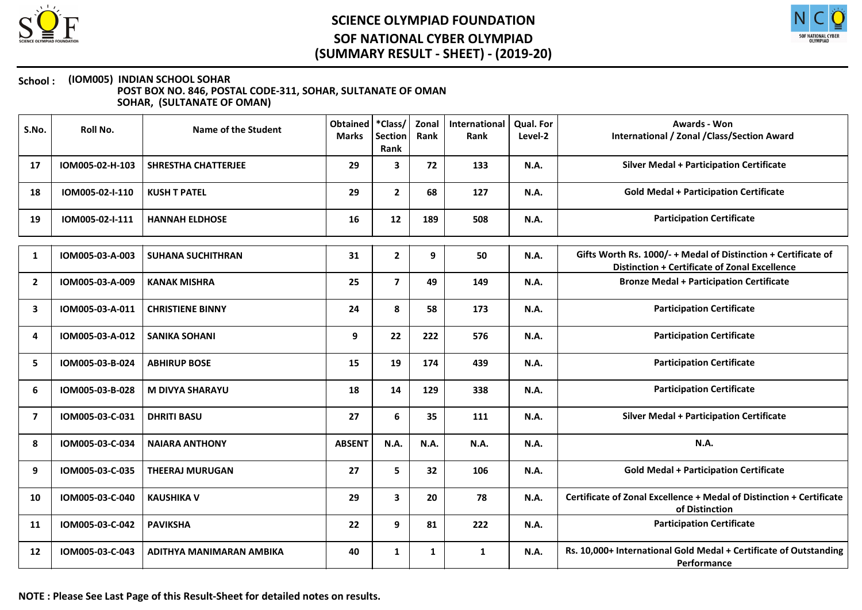



| S.No.          | Roll No.        | Name of the Student        | Obtained<br><b>Marks</b> | *Class/<br><b>Section</b><br>Rank | Zonal<br>Rank | International<br>Rank | Qual. For<br>Level-2 | Awards - Won<br><b>International / Zonal / Class/Section Award</b>                                                     |
|----------------|-----------------|----------------------------|--------------------------|-----------------------------------|---------------|-----------------------|----------------------|------------------------------------------------------------------------------------------------------------------------|
| 17             | IOM005-02-H-103 | <b>SHRESTHA CHATTERJEE</b> | 29                       | 3                                 | 72            | 133                   | N.A.                 | <b>Silver Medal + Participation Certificate</b>                                                                        |
| 18             | IOM005-02-I-110 | <b>KUSH T PATEL</b>        | 29                       | $\mathbf{2}$                      | 68            | 127                   | N.A.                 | <b>Gold Medal + Participation Certificate</b>                                                                          |
| 19             | IOM005-02-I-111 | <b>HANNAH ELDHOSE</b>      | 16                       | 12                                | 189           | 508                   | N.A.                 | <b>Participation Certificate</b>                                                                                       |
| 1              | IOM005-03-A-003 | <b>SUHANA SUCHITHRAN</b>   | 31                       | $\mathbf{2}$                      | 9             | 50                    | <b>N.A.</b>          | Gifts Worth Rs. 1000/- + Medal of Distinction + Certificate of<br><b>Distinction + Certificate of Zonal Excellence</b> |
| $\overline{2}$ | IOM005-03-A-009 | <b>KANAK MISHRA</b>        | 25                       | $\overline{7}$                    | 49            | 149                   | N.A.                 | <b>Bronze Medal + Participation Certificate</b>                                                                        |
| 3              | IOM005-03-A-011 | <b>CHRISTIENE BINNY</b>    | 24                       | 8                                 | 58            | 173                   | N.A.                 | <b>Participation Certificate</b>                                                                                       |
| 4              | IOM005-03-A-012 | <b>SANIKA SOHANI</b>       | 9                        | 22                                | 222           | 576                   | N.A.                 | <b>Participation Certificate</b>                                                                                       |
| 5              | IOM005-03-B-024 | <b>ABHIRUP BOSE</b>        | 15                       | 19                                | 174           | 439                   | N.A.                 | <b>Participation Certificate</b>                                                                                       |
| 6              | IOM005-03-B-028 | <b>M DIVYA SHARAYU</b>     | 18                       | 14                                | 129           | 338                   | N.A.                 | <b>Participation Certificate</b>                                                                                       |
| 7              | IOM005-03-C-031 | <b>DHRITI BASU</b>         | 27                       | 6                                 | 35            | 111                   | N.A.                 | <b>Silver Medal + Participation Certificate</b>                                                                        |
| 8              | IOM005-03-C-034 | <b>NAIARA ANTHONY</b>      | <b>ABSENT</b>            | <b>N.A.</b>                       | N.A.          | N.A.                  | <b>N.A.</b>          | <b>N.A.</b>                                                                                                            |
| 9              | IOM005-03-C-035 | <b>THEERAJ MURUGAN</b>     | 27                       | 5                                 | 32            | 106                   | N.A.                 | <b>Gold Medal + Participation Certificate</b>                                                                          |
| 10             | IOM005-03-C-040 | <b>KAUSHIKA V</b>          | 29                       | $\mathbf{3}$                      | 20            | 78                    | <b>N.A.</b>          | Certificate of Zonal Excellence + Medal of Distinction + Certificate<br>of Distinction                                 |
| 11             | IOM005-03-C-042 | <b>PAVIKSHA</b>            | 22                       | 9                                 | 81            | 222                   | N.A.                 | <b>Participation Certificate</b>                                                                                       |
| 12             | IOM005-03-C-043 | ADITHYA MANIMARAN AMBIKA   | 40                       | $\mathbf{1}$                      | 1             | $\mathbf{1}$          | N.A.                 | Rs. 10,000+ International Gold Medal + Certificate of Outstanding<br>Performance                                       |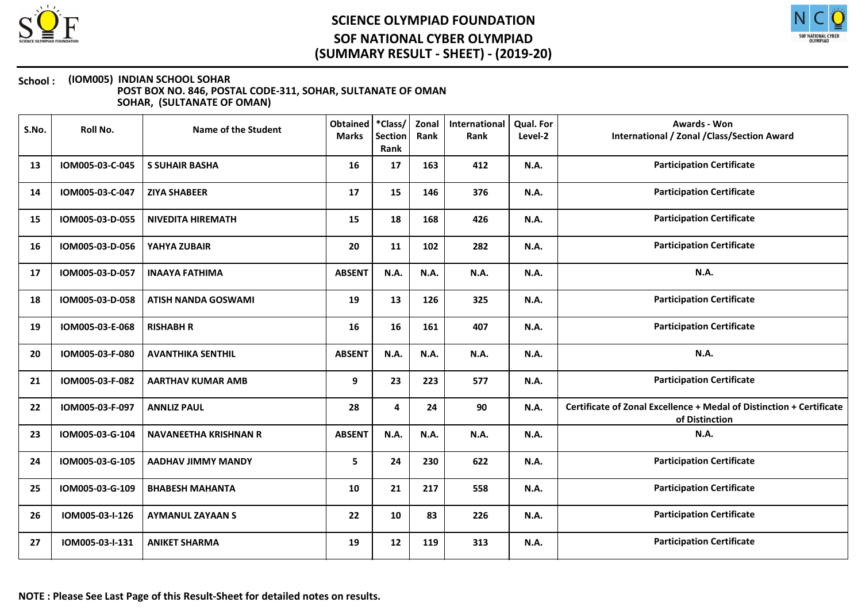



| S.No. | Roll No.        | Name of the Student          | <b>Obtained</b><br><b>Marks</b> | *Class/<br><b>Section</b><br>Rank | Zonal<br>Rank | International<br>Rank | Qual. For<br>Level-2 | Awards - Won<br>International / Zonal / Class/Section Award                            |
|-------|-----------------|------------------------------|---------------------------------|-----------------------------------|---------------|-----------------------|----------------------|----------------------------------------------------------------------------------------|
| 13    | IOM005-03-C-045 | <b>S SUHAIR BASHA</b>        | 16                              | 17                                | 163           | 412                   | N.A.                 | <b>Participation Certificate</b>                                                       |
| 14    | IOM005-03-C-047 | <b>ZIYA SHABEER</b>          | 17                              | 15                                | 146           | 376                   | <b>N.A.</b>          | <b>Participation Certificate</b>                                                       |
| 15    | IOM005-03-D-055 | <b>NIVEDITA HIREMATH</b>     | 15                              | 18                                | 168           | 426                   | N.A.                 | <b>Participation Certificate</b>                                                       |
| 16    | IOM005-03-D-056 | YAHYA ZUBAIR                 | 20                              | 11                                | 102           | 282                   | <b>N.A.</b>          | <b>Participation Certificate</b>                                                       |
| 17    | IOM005-03-D-057 | <b>INAAYA FATHIMA</b>        | <b>ABSENT</b>                   | N.A.                              | N.A.          | N.A.                  | N.A.                 | <b>N.A.</b>                                                                            |
| 18    | IOM005-03-D-058 | <b>ATISH NANDA GOSWAMI</b>   | 19                              | 13                                | 126           | 325                   | N.A.                 | <b>Participation Certificate</b>                                                       |
| 19    | IOM005-03-E-068 | <b>RISHABH R</b>             | 16                              | 16                                | 161           | 407                   | N.A.                 | <b>Participation Certificate</b>                                                       |
| 20    | IOM005-03-F-080 | <b>AVANTHIKA SENTHIL</b>     | <b>ABSENT</b>                   | N.A.                              | N.A.          | N.A.                  | N.A.                 | <b>N.A.</b>                                                                            |
| 21    | IOM005-03-F-082 | <b>AARTHAV KUMAR AMB</b>     | 9                               | 23                                | 223           | 577                   | N.A.                 | <b>Participation Certificate</b>                                                       |
| 22    | IOM005-03-F-097 | <b>ANNLIZ PAUL</b>           | 28                              | 4                                 | 24            | 90                    | N.A.                 | Certificate of Zonal Excellence + Medal of Distinction + Certificate<br>of Distinction |
| 23    | IOM005-03-G-104 | <b>NAVANEETHA KRISHNAN R</b> | <b>ABSENT</b>                   | N.A.                              | N.A.          | N.A.                  | <b>N.A.</b>          | N.A.                                                                                   |
| 24    | IOM005-03-G-105 | <b>AADHAV JIMMY MANDY</b>    | 5                               | 24                                | 230           | 622                   | <b>N.A.</b>          | <b>Participation Certificate</b>                                                       |
| 25    | IOM005-03-G-109 | <b>BHABESH MAHANTA</b>       | 10                              | 21                                | 217           | 558                   | <b>N.A.</b>          | <b>Participation Certificate</b>                                                       |
| 26    | IOM005-03-I-126 | <b>AYMANUL ZAYAAN S</b>      | 22                              | 10                                | 83            | 226                   | N.A.                 | <b>Participation Certificate</b>                                                       |
| 27    | IOM005-03-I-131 | <b>ANIKET SHARMA</b>         | 19                              | 12                                | 119           | 313                   | <b>N.A.</b>          | <b>Participation Certificate</b>                                                       |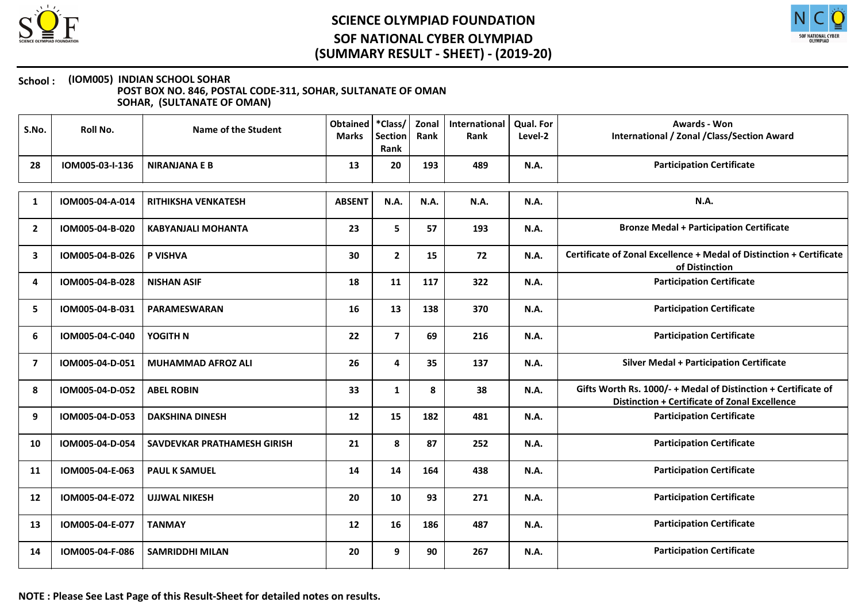



| S.No.          | Roll No.        | <b>Name of the Student</b>  | Obtained<br><b>Marks</b> | *Class/<br>Section<br>Rank | Zonal<br>Rank | International<br>Rank | <b>Qual. For</b><br>Level-2 | <b>Awards - Won</b><br><b>International / Zonal / Class/Section Award</b>                                              |
|----------------|-----------------|-----------------------------|--------------------------|----------------------------|---------------|-----------------------|-----------------------------|------------------------------------------------------------------------------------------------------------------------|
| 28             | IOM005-03-I-136 | <b>NIRANJANA E B</b>        | 13                       | 20                         | 193           | 489                   | N.A.                        | <b>Participation Certificate</b>                                                                                       |
| 1              | IOM005-04-A-014 | <b>RITHIKSHA VENKATESH</b>  | <b>ABSENT</b>            | N.A.                       | N.A.          | N.A.                  | <b>N.A.</b>                 | <b>N.A.</b>                                                                                                            |
| $\overline{2}$ | IOM005-04-B-020 | KABYANJALI MOHANTA          | 23                       | 5                          | 57            | 193                   | <b>N.A.</b>                 | <b>Bronze Medal + Participation Certificate</b>                                                                        |
| 3              | IOM005-04-B-026 | P VISHVA                    | 30                       | $\mathbf{2}$               | 15            | 72                    | N.A.                        | Certificate of Zonal Excellence + Medal of Distinction + Certificate<br>of Distinction                                 |
| 4              | IOM005-04-B-028 | <b>NISHAN ASIF</b>          | 18                       | 11                         | 117           | 322                   | N.A.                        | <b>Participation Certificate</b>                                                                                       |
| 5              | IOM005-04-B-031 | <b>PARAMESWARAN</b>         | 16                       | 13                         | 138           | 370                   | <b>N.A.</b>                 | <b>Participation Certificate</b>                                                                                       |
| 6              | IOM005-04-C-040 | YOGITH N                    | 22                       | $\overline{\mathbf{z}}$    | 69            | 216                   | N.A.                        | <b>Participation Certificate</b>                                                                                       |
| $\overline{7}$ | IOM005-04-D-051 | <b>MUHAMMAD AFROZ ALI</b>   | 26                       | 4                          | 35            | 137                   | <b>N.A.</b>                 | <b>Silver Medal + Participation Certificate</b>                                                                        |
| 8              | IOM005-04-D-052 | <b>ABEL ROBIN</b>           | 33                       | $\mathbf{1}$               | 8             | 38                    | N.A.                        | Gifts Worth Rs. 1000/- + Medal of Distinction + Certificate of<br><b>Distinction + Certificate of Zonal Excellence</b> |
| 9              | IOM005-04-D-053 | <b>DAKSHINA DINESH</b>      | 12                       | 15                         | 182           | 481                   | N.A.                        | <b>Participation Certificate</b>                                                                                       |
| 10             | IOM005-04-D-054 | SAVDEVKAR PRATHAMESH GIRISH | 21                       | 8                          | 87            | 252                   | N.A.                        | <b>Participation Certificate</b>                                                                                       |
| 11             | IOM005-04-E-063 | <b>PAUL K SAMUEL</b>        | 14                       | 14                         | 164           | 438                   | <b>N.A.</b>                 | <b>Participation Certificate</b>                                                                                       |
| 12             | IOM005-04-E-072 | <b>UJJWAL NIKESH</b>        | 20                       | 10                         | 93            | 271                   | <b>N.A.</b>                 | <b>Participation Certificate</b>                                                                                       |
| 13             | IOM005-04-E-077 | <b>TANMAY</b>               | 12                       | 16                         | 186           | 487                   | <b>N.A.</b>                 | <b>Participation Certificate</b>                                                                                       |
| 14             | IOM005-04-F-086 | <b>SAMRIDDHI MILAN</b>      | 20                       | 9                          | 90            | 267                   | <b>N.A.</b>                 | <b>Participation Certificate</b>                                                                                       |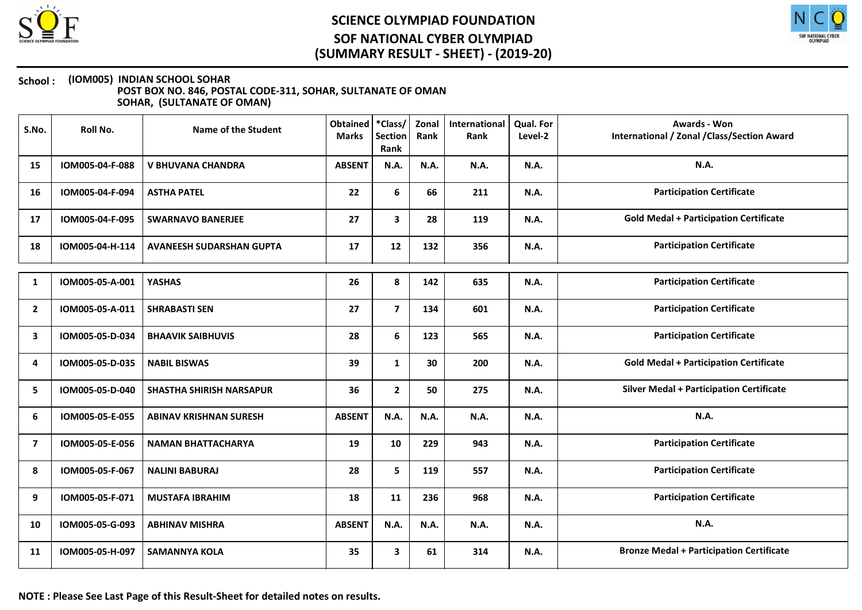



| S.No.          | Roll No.        | <b>Name of the Student</b>      | <b>Obtained</b><br><b>Marks</b> | *Class/<br><b>Section</b><br>Rank | Zonal<br>Rank | International<br>Rank | Qual. For<br>Level-2 | Awards - Won<br>International / Zonal / Class/Section Award |
|----------------|-----------------|---------------------------------|---------------------------------|-----------------------------------|---------------|-----------------------|----------------------|-------------------------------------------------------------|
| 15             | IOM005-04-F-088 | <b>V BHUVANA CHANDRA</b>        | <b>ABSENT</b>                   | N.A.                              | N.A.          | N.A.                  | <b>N.A.</b>          | <b>N.A.</b>                                                 |
| 16             | IOM005-04-F-094 | <b>ASTHA PATEL</b>              | 22                              | 6                                 | 66            | 211                   | N.A.                 | <b>Participation Certificate</b>                            |
| 17             | IOM005-04-F-095 | <b>SWARNAVO BANERJEE</b>        | 27                              | 3                                 | 28            | 119                   | <b>N.A.</b>          | <b>Gold Medal + Participation Certificate</b>               |
| 18             | IOM005-04-H-114 | <b>AVANEESH SUDARSHAN GUPTA</b> | 17                              | 12                                | 132           | 356                   | N.A.                 | <b>Participation Certificate</b>                            |
| 1              | IOM005-05-A-001 | <b>YASHAS</b>                   | 26                              | 8                                 | 142           | 635                   | <b>N.A.</b>          | <b>Participation Certificate</b>                            |
| $\overline{2}$ | IOM005-05-A-011 | <b>SHRABASTI SEN</b>            | 27                              | $\overline{7}$                    | 134           | 601                   | N.A.                 | <b>Participation Certificate</b>                            |
| 3              | IOM005-05-D-034 | <b>BHAAVIK SAIBHUVIS</b>        | 28                              | 6                                 | 123           | 565                   | <b>N.A.</b>          | <b>Participation Certificate</b>                            |
| 4              | IOM005-05-D-035 | <b>NABIL BISWAS</b>             | 39                              | $\mathbf{1}$                      | 30            | 200                   | <b>N.A.</b>          | <b>Gold Medal + Participation Certificate</b>               |
| 5              | IOM005-05-D-040 | <b>SHASTHA SHIRISH NARSAPUR</b> | 36                              | $\mathbf{2}$                      | 50            | 275                   | <b>N.A.</b>          | <b>Silver Medal + Participation Certificate</b>             |
| 6              | IOM005-05-E-055 | <b>ABINAV KRISHNAN SURESH</b>   | <b>ABSENT</b>                   | N.A.                              | N.A.          | <b>N.A.</b>           | <b>N.A.</b>          | N.A.                                                        |
| 7              | IOM005-05-E-056 | <b>NAMAN BHATTACHARYA</b>       | 19                              | 10                                | 229           | 943                   | <b>N.A.</b>          | <b>Participation Certificate</b>                            |
| 8              | IOM005-05-F-067 | <b>NALINI BABURAJ</b>           | 28                              | 5                                 | 119           | 557                   | <b>N.A.</b>          | <b>Participation Certificate</b>                            |
| 9              | IOM005-05-F-071 | <b>MUSTAFA IBRAHIM</b>          | 18                              | 11                                | 236           | 968                   | N.A.                 | <b>Participation Certificate</b>                            |
| 10             | IOM005-05-G-093 | <b>ABHINAV MISHRA</b>           | <b>ABSENT</b>                   | N.A.                              | N.A.          | N.A.                  | <b>N.A.</b>          | N.A.                                                        |
| 11             | IOM005-05-H-097 | <b>SAMANNYA KOLA</b>            | 35                              | 3                                 | 61            | 314                   | <b>N.A.</b>          | <b>Bronze Medal + Participation Certificate</b>             |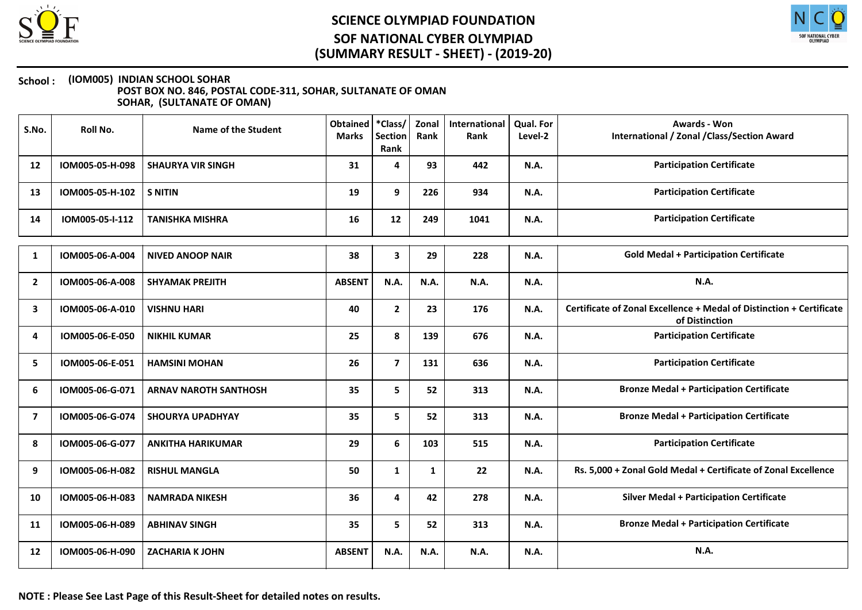



| S.No.        | <b>Roll No.</b> | <b>Name of the Student</b>   | <b>Obtained</b><br><b>Marks</b> | *Class/<br><b>Section</b><br>Rank | Zonal<br>Rank | International<br>Rank | Qual. For<br>Level-2 | <b>Awards - Won</b><br><b>International / Zonal / Class/Section Award</b>              |
|--------------|-----------------|------------------------------|---------------------------------|-----------------------------------|---------------|-----------------------|----------------------|----------------------------------------------------------------------------------------|
| 12           | IOM005-05-H-098 | <b>SHAURYA VIR SINGH</b>     | 31                              | 4                                 | 93            | 442                   | <b>N.A.</b>          | <b>Participation Certificate</b>                                                       |
| 13           | IOM005-05-H-102 | <b>S NITIN</b>               | 19                              | 9                                 | 226           | 934                   | <b>N.A.</b>          | <b>Participation Certificate</b>                                                       |
| 14           | IOM005-05-I-112 | <b>TANISHKA MISHRA</b>       | 16                              | 12                                | 249           | 1041                  | <b>N.A.</b>          | <b>Participation Certificate</b>                                                       |
| 1            | IOM005-06-A-004 | <b>NIVED ANOOP NAIR</b>      | 38                              | 3                                 | 29            | 228                   | N.A.                 | <b>Gold Medal + Participation Certificate</b>                                          |
| $\mathbf{2}$ | IOM005-06-A-008 | <b>SHYAMAK PREJITH</b>       | <b>ABSENT</b>                   | <b>N.A.</b>                       | N.A.          | N.A.                  | N.A.                 | N.A.                                                                                   |
| $\mathbf{3}$ | IOM005-06-A-010 | <b>VISHNU HARI</b>           | 40                              | $\mathbf{2}$                      | 23            | 176                   | N.A.                 | Certificate of Zonal Excellence + Medal of Distinction + Certificate<br>of Distinction |
| 4            | IOM005-06-E-050 | <b>NIKHIL KUMAR</b>          | 25                              | 8                                 | 139           | 676                   | N.A.                 | <b>Participation Certificate</b>                                                       |
| 5            | IOM005-06-E-051 | <b>HAMSINI MOHAN</b>         | 26                              | $\overline{7}$                    | 131           | 636                   | N.A.                 | <b>Participation Certificate</b>                                                       |
| 6            | IOM005-06-G-071 | <b>ARNAV NAROTH SANTHOSH</b> | 35                              | 5                                 | 52            | 313                   | N.A.                 | <b>Bronze Medal + Participation Certificate</b>                                        |
| 7            | IOM005-06-G-074 | <b>SHOURYA UPADHYAY</b>      | 35                              | 5                                 | 52            | 313                   | <b>N.A.</b>          | <b>Bronze Medal + Participation Certificate</b>                                        |
| 8            | IOM005-06-G-077 | <b>ANKITHA HARIKUMAR</b>     | 29                              | 6                                 | 103           | 515                   | N.A.                 | <b>Participation Certificate</b>                                                       |
| 9            | IOM005-06-H-082 | <b>RISHUL MANGLA</b>         | 50                              | $\mathbf{1}$                      | $\mathbf{1}$  | 22                    | N.A.                 | Rs. 5,000 + Zonal Gold Medal + Certificate of Zonal Excellence                         |
| 10           | IOM005-06-H-083 | <b>NAMRADA NIKESH</b>        | 36                              | 4                                 | 42            | 278                   | N.A.                 | <b>Silver Medal + Participation Certificate</b>                                        |
| 11           | IOM005-06-H-089 | <b>ABHINAV SINGH</b>         | 35                              | 5                                 | 52            | 313                   | N.A.                 | <b>Bronze Medal + Participation Certificate</b>                                        |
| 12           | IOM005-06-H-090 | <b>ZACHARIA K JOHN</b>       | <b>ABSENT</b>                   | N.A.                              | N.A.          | <b>N.A.</b>           | N.A.                 | N.A.                                                                                   |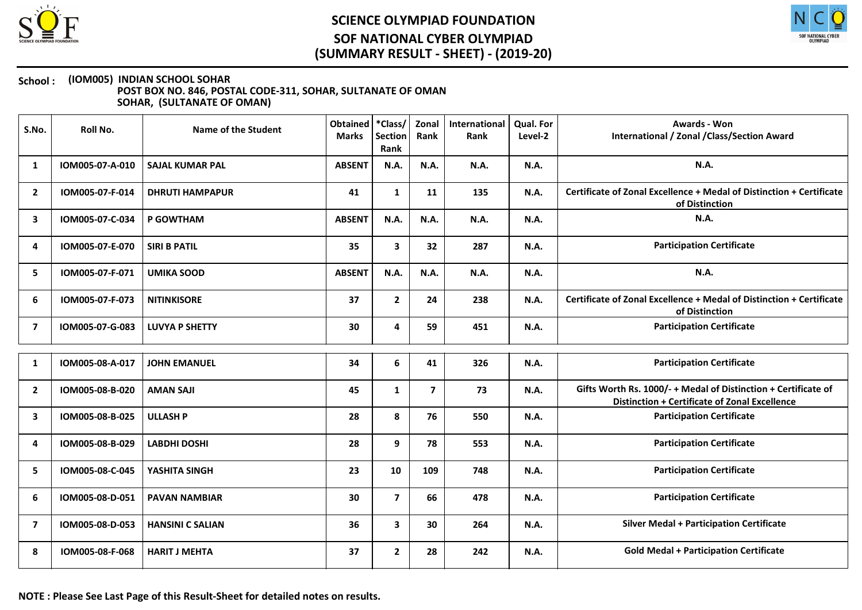



| S.No.          | Roll No.        | <b>Name of the Student</b> | Obtained<br><b>Marks</b> | *Class/<br><b>Section</b><br>Rank | Zonal<br>Rank           | International<br>Rank | <b>Qual. For</b><br>Level-2 | <b>Awards - Won</b><br>International / Zonal / Class/Section Award                                                     |
|----------------|-----------------|----------------------------|--------------------------|-----------------------------------|-------------------------|-----------------------|-----------------------------|------------------------------------------------------------------------------------------------------------------------|
| 1              | IOM005-07-A-010 | <b>SAJAL KUMAR PAL</b>     | <b>ABSENT</b>            | <b>N.A.</b>                       | N.A.                    | <b>N.A.</b>           | <b>N.A.</b>                 | N.A.                                                                                                                   |
| $\mathbf{2}$   | IOM005-07-F-014 | <b>DHRUTI HAMPAPUR</b>     | 41                       | $\mathbf{1}$                      | 11                      | 135                   | N.A.                        | Certificate of Zonal Excellence + Medal of Distinction + Certificate<br>of Distinction                                 |
| 3              | IOM005-07-C-034 | P GOWTHAM                  | <b>ABSENT</b>            | N.A.                              | N.A.                    | N.A.                  | <b>N.A.</b>                 | <b>N.A.</b>                                                                                                            |
| 4              | IOM005-07-E-070 | <b>SIRI B PATIL</b>        | 35                       | $\mathbf{3}$                      | 32                      | 287                   | <b>N.A.</b>                 | <b>Participation Certificate</b>                                                                                       |
| 5              | IOM005-07-F-071 | <b>UMIKA SOOD</b>          | <b>ABSENT</b>            | <b>N.A.</b>                       | N.A.                    | N.A.                  | N.A.                        | N.A.                                                                                                                   |
| 6              | IOM005-07-F-073 | <b>NITINKISORE</b>         | 37                       | $\mathbf{2}$                      | 24                      | 238                   | <b>N.A.</b>                 | Certificate of Zonal Excellence + Medal of Distinction + Certificate<br>of Distinction                                 |
| 7              | IOM005-07-G-083 | <b>LUVYA P SHETTY</b>      | 30                       | 4                                 | 59                      | 451                   | <b>N.A.</b>                 | <b>Participation Certificate</b>                                                                                       |
| 1              | IOM005-08-A-017 | <b>JOHN EMANUEL</b>        | 34                       | 6                                 | 41                      | 326                   | <b>N.A.</b>                 | <b>Participation Certificate</b>                                                                                       |
| $\overline{2}$ | IOM005-08-B-020 | <b>AMAN SAJI</b>           | 45                       | $\mathbf{1}$                      | $\overline{\mathbf{z}}$ | 73                    | <b>N.A.</b>                 | Gifts Worth Rs. 1000/- + Medal of Distinction + Certificate of<br><b>Distinction + Certificate of Zonal Excellence</b> |
| 3              | IOM005-08-B-025 | <b>ULLASH P</b>            | 28                       | 8                                 | 76                      | 550                   | N.A.                        | <b>Participation Certificate</b>                                                                                       |
| 4              | IOM005-08-B-029 | <b>LABDHI DOSHI</b>        | 28                       | 9                                 | 78                      | 553                   | <b>N.A.</b>                 | <b>Participation Certificate</b>                                                                                       |
| 5              | IOM005-08-C-045 | YASHITA SINGH              | 23                       | 10                                | 109                     | 748                   | <b>N.A.</b>                 | <b>Participation Certificate</b>                                                                                       |
| 6              | IOM005-08-D-051 | <b>PAVAN NAMBIAR</b>       | 30                       | $\overline{7}$                    | 66                      | 478                   | N.A.                        | <b>Participation Certificate</b>                                                                                       |
| 7              | IOM005-08-D-053 | <b>HANSINI C SALIAN</b>    | 36                       | 3                                 | 30                      | 264                   | <b>N.A.</b>                 | <b>Silver Medal + Participation Certificate</b>                                                                        |
| 8              | IOM005-08-F-068 | <b>HARIT J MEHTA</b>       | 37                       | $\mathbf{2}$                      | 28                      | 242                   | <b>N.A.</b>                 | <b>Gold Medal + Participation Certificate</b>                                                                          |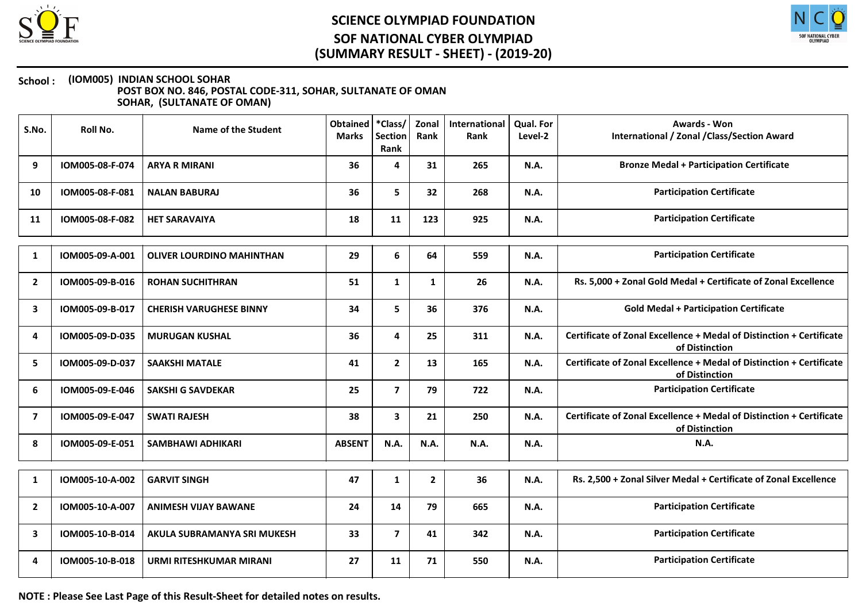



#### School : (IOM005) INDIAN SCHOOL SOHAR POST BOX NO. 846, POSTAL CODE-311, SOHAR, SULTANATE OF OMAN SOHAR, (SULTANATE OF OMAN)

| S.No.          | Roll No.        | Name of the Student              | <b>Obtained</b><br><b>Marks</b> | *Class/<br><b>Section</b><br>Rank | Zonal<br>Rank | <b>International</b><br>Rank | Qual. For<br>Level-2 | <b>Awards - Won</b><br><b>International / Zonal / Class/Section Award</b>              |
|----------------|-----------------|----------------------------------|---------------------------------|-----------------------------------|---------------|------------------------------|----------------------|----------------------------------------------------------------------------------------|
| 9              | IOM005-08-F-074 | <b>ARYA R MIRANI</b>             | 36                              | 4                                 | 31            | 265                          | N.A.                 | <b>Bronze Medal + Participation Certificate</b>                                        |
| 10             | IOM005-08-F-081 | <b>NALAN BABURAJ</b>             | 36                              | 5                                 | 32            | 268                          | <b>N.A.</b>          | <b>Participation Certificate</b>                                                       |
| 11             | IOM005-08-F-082 | <b>HET SARAVAIYA</b>             | 18                              | 11                                | 123           | 925                          | N.A.                 | <b>Participation Certificate</b>                                                       |
| 1              | IOM005-09-A-001 | <b>OLIVER LOURDINO MAHINTHAN</b> | 29                              | 6                                 | 64            | 559                          | N.A.                 | <b>Participation Certificate</b>                                                       |
| $\overline{2}$ | IOM005-09-B-016 | <b>ROHAN SUCHITHRAN</b>          | 51                              | $\mathbf{1}$                      | $\mathbf{1}$  | 26                           | <b>N.A.</b>          | Rs. 5,000 + Zonal Gold Medal + Certificate of Zonal Excellence                         |
| 3              | IOM005-09-B-017 | <b>CHERISH VARUGHESE BINNY</b>   | 34                              | 5                                 | 36            | 376                          | <b>N.A.</b>          | <b>Gold Medal + Participation Certificate</b>                                          |
| 4              | IOM005-09-D-035 | <b>MURUGAN KUSHAL</b>            | 36                              | 4                                 | 25            | 311                          | N.A.                 | Certificate of Zonal Excellence + Medal of Distinction + Certificate<br>of Distinction |
| 5              | IOM005-09-D-037 | <b>SAAKSHI MATALE</b>            | 41                              | $\mathbf{2}$                      | 13            | 165                          | <b>N.A.</b>          | Certificate of Zonal Excellence + Medal of Distinction + Certificate<br>of Distinction |
| 6              | IOM005-09-E-046 | <b>SAKSHI G SAVDEKAR</b>         | 25                              | $\overline{7}$                    | 79            | 722                          | <b>N.A.</b>          | <b>Participation Certificate</b>                                                       |
| 7              | IOM005-09-E-047 | <b>SWATI RAJESH</b>              | 38                              | $\mathbf{3}$                      | 21            | 250                          | <b>N.A.</b>          | Certificate of Zonal Excellence + Medal of Distinction + Certificate<br>of Distinction |
| 8              | IOM005-09-E-051 | <b>SAMBHAWI ADHIKARI</b>         | <b>ABSENT</b>                   | N.A.                              | N.A.          | <b>N.A.</b>                  | N.A.                 | N.A.                                                                                   |
| 1              | IOM005-10-A-002 | <b>GARVIT SINGH</b>              | 47                              | $\mathbf{1}$                      | $\mathbf{2}$  | 36                           | <b>N.A.</b>          | Rs. 2,500 + Zonal Silver Medal + Certificate of Zonal Excellence                       |
| $\overline{2}$ | IOM005-10-A-007 | <b>ANIMESH VIJAY BAWANE</b>      | 24                              | 14                                | 79            | 665                          | <b>N.A.</b>          | <b>Participation Certificate</b>                                                       |
| 3              | IOM005-10-B-014 | AKULA SUBRAMANYA SRI MUKESH      | 33                              | $\overline{\mathbf{z}}$           | 41            | 342                          | N.A.                 | <b>Participation Certificate</b>                                                       |
| 4              | IOM005-10-B-018 | <b>URMI RITESHKUMAR MIRANI</b>   | 27                              | 11                                | 71            | 550                          | <b>N.A.</b>          | <b>Participation Certificate</b>                                                       |

NOTE : Please See Last Page of this Result-Sheet for detailed notes on results.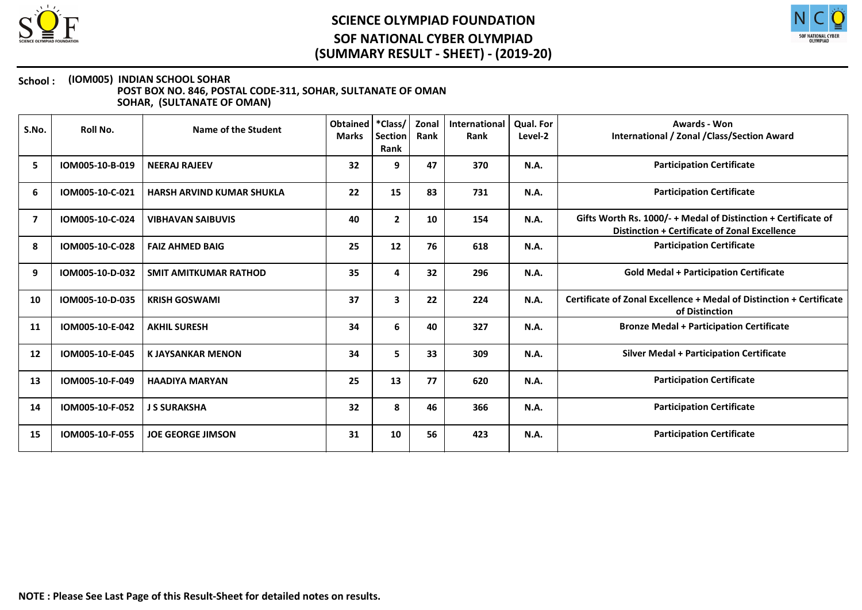



| S.No. | Roll No.        | Name of the Student              | <b>Obtained</b><br><b>Marks</b> | *Class/<br><b>Section</b><br>Rank | Zonal<br>Rank | International<br>Rank | <b>Qual. For</b><br>Level-2 | Awards - Won<br>International / Zonal / Class/Section Award                                                     |
|-------|-----------------|----------------------------------|---------------------------------|-----------------------------------|---------------|-----------------------|-----------------------------|-----------------------------------------------------------------------------------------------------------------|
| 5     | IOM005-10-B-019 | <b>NEERAJ RAJEEV</b>             | 32                              | 9                                 | 47            | 370                   | N.A.                        | <b>Participation Certificate</b>                                                                                |
| 6     | IOM005-10-C-021 | <b>HARSH ARVIND KUMAR SHUKLA</b> | 22                              | 15                                | 83            | 731                   | N.A.                        | <b>Participation Certificate</b>                                                                                |
| 7     | IOM005-10-C-024 | <b>VIBHAVAN SAIBUVIS</b>         | 40                              | $\mathbf{2}$                      | 10            | 154                   | N.A.                        | Gifts Worth Rs. 1000/- + Medal of Distinction + Certificate of<br>Distinction + Certificate of Zonal Excellence |
| 8     | IOM005-10-C-028 | <b>FAIZ AHMED BAIG</b>           | 25                              | 12                                | 76            | 618                   | N.A.                        | <b>Participation Certificate</b>                                                                                |
| 9     | IOM005-10-D-032 | <b>SMIT AMITKUMAR RATHOD</b>     | 35                              | 4                                 | 32            | 296                   | N.A.                        | <b>Gold Medal + Participation Certificate</b>                                                                   |
| 10    | IOM005-10-D-035 | <b>KRISH GOSWAMI</b>             | 37                              | $\overline{\mathbf{3}}$           | 22            | 224                   | <b>N.A.</b>                 | Certificate of Zonal Excellence + Medal of Distinction + Certificate<br>of Distinction                          |
| 11    | IOM005-10-E-042 | <b>AKHIL SURESH</b>              | 34                              | 6                                 | 40            | 327                   | <b>N.A.</b>                 | <b>Bronze Medal + Participation Certificate</b>                                                                 |
| 12    | IOM005-10-E-045 | <b>KJAYSANKAR MENON</b>          | 34                              | 5.                                | 33            | 309                   | <b>N.A.</b>                 | <b>Silver Medal + Participation Certificate</b>                                                                 |
| 13    | IOM005-10-F-049 | <b>HAADIYA MARYAN</b>            | 25                              | 13                                | 77            | 620                   | <b>N.A.</b>                 | <b>Participation Certificate</b>                                                                                |
| 14    | IOM005-10-F-052 | <b>J S SURAKSHA</b>              | 32                              | 8                                 | 46            | 366                   | N.A.                        | <b>Participation Certificate</b>                                                                                |
| 15    | IOM005-10-F-055 | <b>JOE GEORGE JIMSON</b>         | 31                              | 10                                | 56            | 423                   | <b>N.A.</b>                 | <b>Participation Certificate</b>                                                                                |